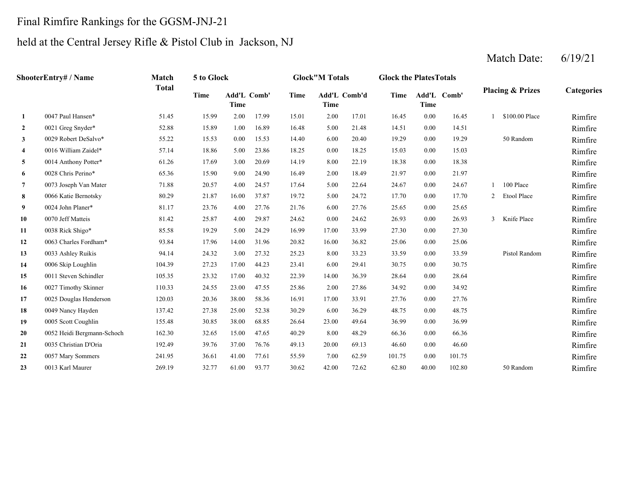## Final Rimfire Rankings for the GGSM-JNJ-21

# held at the Central Jersey Rifle & Pistol Club in Jackson, NJ

|                         | <b>ShooterEntry# / Name</b> | Match        | 5 to Glock  |                            |       |             | <b>Glock"M Totals</b> |       | <b>Glock the Plates Totals</b> |             |             |   |                             |            |
|-------------------------|-----------------------------|--------------|-------------|----------------------------|-------|-------------|-----------------------|-------|--------------------------------|-------------|-------------|---|-----------------------------|------------|
|                         |                             | <b>Total</b> | <b>Time</b> | Add'L Comb'<br><b>Time</b> |       | <b>Time</b> | Add'L Comb'd<br>Time  |       | Time                           | <b>Time</b> | Add'L Comb' |   | <b>Placing &amp; Prizes</b> | Categories |
| 1                       | 0047 Paul Hansen*           | 51.45        | 15.99       | 2.00                       | 17.99 | 15.01       | 2.00                  | 17.01 | 16.45                          | 0.00        | 16.45       |   | \$100.00 Place              | Rimfire    |
| $\mathbf{2}$            | 0021 Greg Snyder*           | 52.88        | 15.89       | 1.00                       | 16.89 | 16.48       | 5.00                  | 21.48 | 14.51                          | 0.00        | 14.51       |   |                             | Rimfire    |
| 3                       | 0029 Robert DeSalvo*        | 55.22        | 15.53       | 0.00                       | 15.53 | 14.40       | 6.00                  | 20.40 | 19.29                          | 0.00        | 19.29       |   | 50 Random                   | Rimfire    |
| $\overline{\mathbf{4}}$ | 0016 William Zaidel*        | 57.14        | 18.86       | 5.00                       | 23.86 | 18.25       | 0.00                  | 18.25 | 15.03                          | 0.00        | 15.03       |   |                             | Rimfire    |
| 5                       | 0014 Anthony Potter*        | 61.26        | 17.69       | 3.00                       | 20.69 | 14.19       | 8.00                  | 22.19 | 18.38                          | 0.00        | 18.38       |   |                             | Rimfire    |
| 6                       | 0028 Chris Perino*          | 65.36        | 15.90       | 9.00                       | 24.90 | 16.49       | 2.00                  | 18.49 | 21.97                          | 0.00        | 21.97       |   |                             | Rimfire    |
| 7                       | 0073 Joseph Van Mater       | 71.88        | 20.57       | 4.00                       | 24.57 | 17.64       | 5.00                  | 22.64 | 24.67                          | 0.00        | 24.67       |   | 100 Place                   | Rimfire    |
| 8                       | 0066 Katie Bernotsky        | 80.29        | 21.87       | 16.00                      | 37.87 | 19.72       | 5.00                  | 24.72 | 17.70                          | 0.00        | 17.70       | 2 | Etool Place                 | Rimfire    |
| 9                       | 0024 John Planer*           | 81.17        | 23.76       | 4.00                       | 27.76 | 21.76       | 6.00                  | 27.76 | 25.65                          | 0.00        | 25.65       |   |                             | Rimfire    |
| 10                      | 0070 Jeff Matteis           | 81.42        | 25.87       | 4.00                       | 29.87 | 24.62       | 0.00                  | 24.62 | 26.93                          | 0.00        | 26.93       | 3 | Knife Place                 | Rimfire    |
| 11                      | 0038 Rick Shigo*            | 85.58        | 19.29       | 5.00                       | 24.29 | 16.99       | 17.00                 | 33.99 | 27.30                          | 0.00        | 27.30       |   |                             | Rimfire    |
| 12                      | 0063 Charles Fordham*       | 93.84        | 17.96       | 14.00                      | 31.96 | 20.82       | 16.00                 | 36.82 | 25.06                          | 0.00        | 25.06       |   |                             | Rimfire    |
| 13                      | 0033 Ashley Ruikis          | 94.14        | 24.32       | 3.00                       | 27.32 | 25.23       | 8.00                  | 33.23 | 33.59                          | 0.00        | 33.59       |   | Pistol Random               | Rimfire    |
| 14                      | 0006 Skip Loughlin          | 104.39       | 27.23       | 17.00                      | 44.23 | 23.41       | 6.00                  | 29.41 | 30.75                          | 0.00        | 30.75       |   |                             | Rimfire    |
| 15                      | 0011 Steven Schindler       | 105.35       | 23.32       | 17.00                      | 40.32 | 22.39       | 14.00                 | 36.39 | 28.64                          | 0.00        | 28.64       |   |                             | Rimfire    |
| 16                      | 0027 Timothy Skinner        | 110.33       | 24.55       | 23.00                      | 47.55 | 25.86       | 2.00                  | 27.86 | 34.92                          | 0.00        | 34.92       |   |                             | Rimfire    |
| 17                      | 0025 Douglas Henderson      | 120.03       | 20.36       | 38.00                      | 58.36 | 16.91       | 17.00                 | 33.91 | 27.76                          | 0.00        | 27.76       |   |                             | Rimfire    |
| 18                      | 0049 Nancy Hayden           | 137.42       | 27.38       | 25.00                      | 52.38 | 30.29       | 6.00                  | 36.29 | 48.75                          | 0.00        | 48.75       |   |                             | Rimfire    |
| 19                      | 0005 Scott Coughlin         | 155.48       | 30.85       | 38.00                      | 68.85 | 26.64       | 23.00                 | 49.64 | 36.99                          | 0.00        | 36.99       |   |                             | Rimfire    |
| 20                      | 0052 Heidi Bergmann-Schoch  | 162.30       | 32.65       | 15.00                      | 47.65 | 40.29       | 8.00                  | 48.29 | 66.36                          | 0.00        | 66.36       |   |                             | Rimfire    |
| 21                      | 0035 Christian D'Oria       | 192.49       | 39.76       | 37.00                      | 76.76 | 49.13       | 20.00                 | 69.13 | 46.60                          | 0.00        | 46.60       |   |                             | Rimfire    |
| 22                      | 0057 Mary Sommers           | 241.95       | 36.61       | 41.00                      | 77.61 | 55.59       | 7.00                  | 62.59 | 101.75                         | 0.00        | 101.75      |   |                             | Rimfire    |
| 23                      | 0013 Karl Maurer            | 269.19       | 32.77       | 61.00                      | 93.77 | 30.62       | 42.00                 | 72.62 | 62.80                          | 40.00       | 102.80      |   | 50 Random                   | Rimfire    |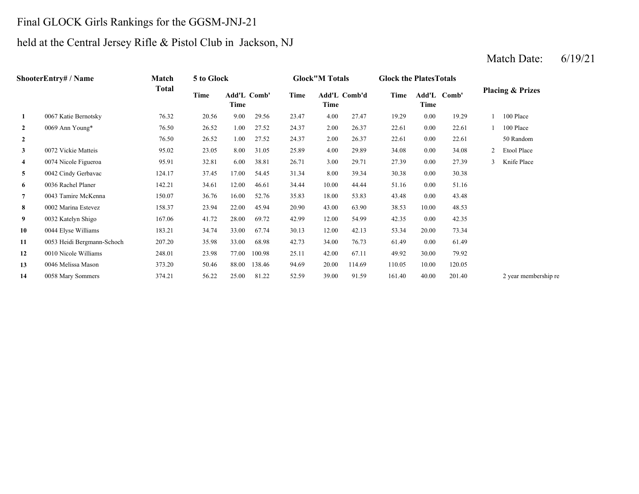## Final GLOCK Girls Rankings for the GGSM-JNJ-21

## held at the Central Jersey Rifle & Pistol Club in Jackson, NJ

|                | ShooterEntry# / Name       | Match        | 5 to Glock |                     |        |       | <b>Glock"M Totals</b> |              | <b>Glock the Plates Totals</b> |       |             |                |                             |
|----------------|----------------------------|--------------|------------|---------------------|--------|-------|-----------------------|--------------|--------------------------------|-------|-------------|----------------|-----------------------------|
|                |                            | <b>Total</b> | Time       | Add'L Comb'<br>Time |        | Time  | Time                  | Add'L Comb'd | Time                           | Time  | Add'L Comb' |                | <b>Placing &amp; Prizes</b> |
| 1              | 0067 Katie Bernotsky       | 76.32        | 20.56      | 9.00                | 29.56  | 23.47 | 4.00                  | 27.47        | 19.29                          | 0.00  | 19.29       |                | 100 Place                   |
| $\overline{2}$ | 0069 Ann Young*            | 76.50        | 26.52      | 1.00                | 27.52  | 24.37 | 2.00                  | 26.37        | 22.61                          | 0.00  | 22.61       |                | 100 Place                   |
| $\overline{2}$ |                            | 76.50        | 26.52      | 1.00                | 27.52  | 24.37 | 2.00                  | 26.37        | 22.61                          | 0.00  | 22.61       |                | 50 Random                   |
| $\mathbf{3}$   | 0072 Vickie Matteis        | 95.02        | 23.05      | 8.00                | 31.05  | 25.89 | 4.00                  | 29.89        | 34.08                          | 0.00  | 34.08       | $\overline{2}$ | Etool Place                 |
| $\overline{4}$ | 0074 Nicole Figueroa       | 95.91        | 32.81      | 6.00                | 38.81  | 26.71 | 3.00                  | 29.71        | 27.39                          | 0.00  | 27.39       | $\mathbf{3}$   | Knife Place                 |
| 5              | 0042 Cindy Gerbavac        | 124.17       | 37.45      | 17.00               | 54.45  | 31.34 | 8.00                  | 39.34        | 30.38                          | 0.00  | 30.38       |                |                             |
| 6              | 0036 Rachel Planer         | 142.21       | 34.61      | 12.00               | 46.61  | 34.44 | 10.00                 | 44.44        | 51.16                          | 0.00  | 51.16       |                |                             |
| $\overline{7}$ | 0043 Tamire McKenna        | 150.07       | 36.76      | 16.00               | 52.76  | 35.83 | 18.00                 | 53.83        | 43.48                          | 0.00  | 43.48       |                |                             |
| 8              | 0002 Marina Estevez        | 158.37       | 23.94      | 22.00               | 45.94  | 20.90 | 43.00                 | 63.90        | 38.53                          | 10.00 | 48.53       |                |                             |
| 9              | 0032 Katelyn Shigo         | 167.06       | 41.72      | 28.00               | 69.72  | 42.99 | 12.00                 | 54.99        | 42.35                          | 0.00  | 42.35       |                |                             |
| 10             | 0044 Elyse Williams        | 183.21       | 34.74      | 33.00               | 67.74  | 30.13 | 12.00                 | 42.13        | 53.34                          | 20.00 | 73.34       |                |                             |
| 11             | 0053 Heidi Bergmann-Schoch | 207.20       | 35.98      | 33.00               | 68.98  | 42.73 | 34.00                 | 76.73        | 61.49                          | 0.00  | 61.49       |                |                             |
| 12             | 0010 Nicole Williams       | 248.01       | 23.98      | 77.00               | 100.98 | 25.11 | 42.00                 | 67.11        | 49.92                          | 30.00 | 79.92       |                |                             |
| 13             | 0046 Melissa Mason         | 373.20       | 50.46      | 88.00               | 138.46 | 94.69 | 20.00                 | 114.69       | 110.05                         | 10.00 | 120.05      |                |                             |
| 14             | 0058 Mary Sommers          | 374.21       | 56.22      | 25.00               | 81.22  | 52.59 | 39.00                 | 91.59        | 161.40                         | 40.00 | 201.40      |                | 2 year membership re        |
|                |                            |              |            |                     |        |       |                       |              |                                |       |             |                |                             |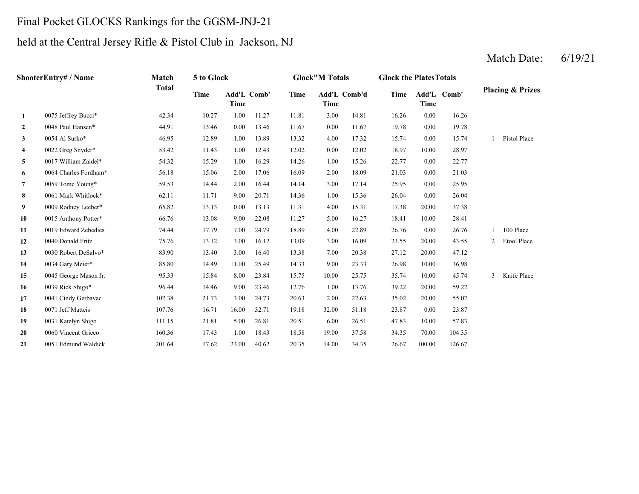#### Final Pocket GLOCKS Rankings for the GGSM-JNJ-21

## held at the Central Jersey Rifle & Pistol Club in Jackson, NJ

#### **2** 0.00 19.78 0048 Paul Hansen\* 44.91 13.46 0.00 13.46 11.67 11.67 0.00 19.78 **3** 4.00 15.74 **4** 0.00 18.97 0022 Greg Snyder\* 53.42 11.43 1.00 12.43 12.02 12.02 10.00 28.97 **5** 1.00 22.77 0017 William Zaidel\* 54.32 15.29 1.00 16.29 14.26 15.26 0.00 22.77 **6** 2.00 21.03 0064 Charles Fordham\* 56.18 15.06 2.00 17.06 16.09 18.09 0.00 21.03 **7** 3.00 25.95 0059 Tome Young\* 59.53 14.44 2.00 16.44 14.14 17.14 0.00 25.95 **8** 1.00 26.04 0061 Mark Whitlock\* 62.11 11.71 9.00 20.71 14.36 15.36 0.00 26.04 **9** 4.00 17.38 0009 Rodney Leeber\* 65.82 13.13 0.00 13.13 11.31 15.31 20.00 37.38 **10**0 0015 Anthony Potter\* 66.76 13.08 9.00 22.08 11.27 5.00 16.27 18.41 10.00 28.41 **11** 4.00 26.76 0019 Edward Zebedies 74.44 17.79 7.00 24.79 18.89 22.89 0.00 26.76 1 100 Place **12**0040 Donald Fritz 75.76 13.12 3.00 16.12 13.09 3.00 16.09 23.55 **13**3 0030 Robert DeSalvo\* 83.90 13.40 3.00 16.40 13.38 7.00 20.38 27.12 20.00 47.12 **14**0034 Gary Meier\* 85.80 14.49 11.00 25.49 14.33 9.00 23.33 26.98 **15** 10.00 35.74 0045 George Mason Jr. 95.33 15.84 8.00 23.84 15.75 25.75 10.00 45.74 3 Knife Place **16**0039 Rick Shigo\* 96.44 14.46 9.00 23.46 12.76 1.00 13.76 39.22 **17** 2.00 35.02 0041 Cindy Gerbavac 102.38 21.73 3.00 24.73 20.63 22.63 20.00 55.02 **188** 0071 Jeff Matteis 107.76 16.71 16.00 32.71 19.18 32.00 51.18 23.87 0.00 23.87 **19** 6.00 47.83 0031 Katelyn Shigo 111.15 21.81 5.00 26.81 20.51 26.51 10.00 57.83 **20** 19.00 34.35 0060 Vincent Grieco 160.36 17.43 1.00 18.43 18.58 37.58 70.00 104.35 **21**1 0051 Edmund Waldick 201.64 17.62 23.00 40.62 20.35 14.00 34.35 26.67 100.00 126.67 **ShooterEntry# / Name Match Total5 to Glock Glock"M Totals Glock the PlatesTotals Placing & Prizes Time Add'L Time Comb' Time Add'L Comb'd Time Add'L Time Time Comb' 1**0075 Jeffrey Bucci\* 42.34 10.27 1.00 11.27 11.81 3.00 14.81 16.26 0.00 16.26 0054 Al Surko\* 46.95 12.89 1.00 13.89 13.32 17.32 0.00 15.74 1 Pistol Place 0040 Donald Fritz 75.76 13.12 3.00 16.12 13.09 16.09 20.00 43.55 2 Etool Place 0034 Gary Meier\* 85.80 14.49 11.00 25.49 14.33 23.33 10.00 36.98 0039 Rick Shigo\* 96.44 14.46 9.00 23.46 12.76 13.76 20.00 59.22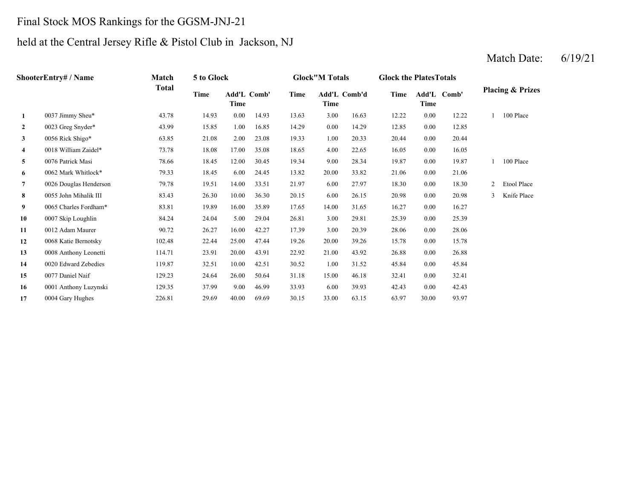## Final Stock MOS Rankings for the GGSM-JNJ-21

# held at the Central Jersey Rifle & Pistol Club in Jackson, NJ

|                         | ShooterEntry# / Name   | Match        | 5 to Glock |                     |       |       | <b>Glock</b> "M Totals |       | <b>Glock the Plates Totals</b> |          |             |   |                             |
|-------------------------|------------------------|--------------|------------|---------------------|-------|-------|------------------------|-------|--------------------------------|----------|-------------|---|-----------------------------|
|                         |                        | <b>Total</b> | Time       | Add'L Comb'<br>Time |       | Time  | Add'L Comb'd<br>Time   |       | Time                           | Time     | Add'L Comb' |   | <b>Placing &amp; Prizes</b> |
| $\mathbf{1}$            | 0037 Jimmy Sheu*       | 43.78        | 14.93      | 0.00                | 14.93 | 13.63 | 3.00                   | 16.63 | 12.22                          | 0.00     | 12.22       |   | 100 Place                   |
| $\mathbf{2}$            | 0023 Greg Snyder*      | 43.99        | 15.85      | 1.00                | 16.85 | 14.29 | 0.00                   | 14.29 | 12.85                          | 0.00     | 12.85       |   |                             |
| $\mathbf{3}$            | 0056 Rick Shigo*       | 63.85        | 21.08      | 2.00                | 23.08 | 19.33 | 1.00                   | 20.33 | 20.44                          | $0.00\,$ | 20.44       |   |                             |
| $\overline{\mathbf{4}}$ | 0018 William Zaidel*   | 73.78        | 18.08      | 17.00               | 35.08 | 18.65 | 4.00                   | 22.65 | 16.05                          | 0.00     | 16.05       |   |                             |
| 5                       | 0076 Patrick Masi      | 78.66        | 18.45      | 12.00               | 30.45 | 19.34 | 9.00                   | 28.34 | 19.87                          | $0.00\,$ | 19.87       |   | 100 Place                   |
| 6                       | 0062 Mark Whitlock*    | 79.33        | 18.45      | 6.00                | 24.45 | 13.82 | 20.00                  | 33.82 | 21.06                          | $0.00\,$ | 21.06       |   |                             |
| $\overline{7}$          | 0026 Douglas Henderson | 79.78        | 19.51      | 14.00               | 33.51 | 21.97 | 6.00                   | 27.97 | 18.30                          | 0.00     | 18.30       | 2 | Etool Place                 |
| 8                       | 0055 John Mihalik III  | 83.43        | 26.30      | 10.00               | 36.30 | 20.15 | 6.00                   | 26.15 | 20.98                          | 0.00     | 20.98       | 3 | Knife Place                 |
| 9                       | 0065 Charles Fordham*  | 83.81        | 19.89      | 16.00               | 35.89 | 17.65 | 14.00                  | 31.65 | 16.27                          | $0.00\,$ | 16.27       |   |                             |
| 10                      | 0007 Skip Loughlin     | 84.24        | 24.04      | 5.00                | 29.04 | 26.81 | 3.00                   | 29.81 | 25.39                          | 0.00     | 25.39       |   |                             |
| 11                      | 0012 Adam Maurer       | 90.72        | 26.27      | 16.00               | 42.27 | 17.39 | 3.00                   | 20.39 | 28.06                          | $0.00\,$ | 28.06       |   |                             |
| 12                      | 0068 Katie Bernotsky   | 102.48       | 22.44      | 25.00               | 47.44 | 19.26 | 20.00                  | 39.26 | 15.78                          | $0.00\,$ | 15.78       |   |                             |
| 13                      | 0008 Anthony Leonetti  | 114.71       | 23.91      | 20.00               | 43.91 | 22.92 | 21.00                  | 43.92 | 26.88                          | 0.00     | 26.88       |   |                             |
| 14                      | 0020 Edward Zebedies   | 119.87       | 32.51      | 10.00               | 42.51 | 30.52 | 1.00                   | 31.52 | 45.84                          | $0.00\,$ | 45.84       |   |                             |
| 15                      | 0077 Daniel Naif       | 129.23       | 24.64      | 26.00               | 50.64 | 31.18 | 15.00                  | 46.18 | 32.41                          | $0.00\,$ | 32.41       |   |                             |
| 16                      | 0001 Anthony Luzynski  | 129.35       | 37.99      | 9.00                | 46.99 | 33.93 | 6.00                   | 39.93 | 42.43                          | $0.00\,$ | 42.43       |   |                             |
| 17                      | 0004 Gary Hughes       | 226.81       | 29.69      | 40.00               | 69.69 | 30.15 | 33.00                  | 63.15 | 63.97                          | 30.00    | 93.97       |   |                             |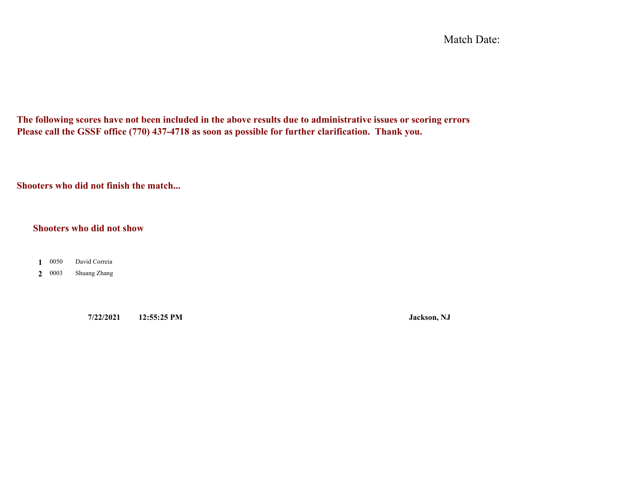Match Date:

**The following scores have not been included in the above results due to administrative issues or scoring errors Please call the GSSF office (770) 437-4718 as soon as possible for further clarification. Thank you.**

**Shooters who did not finish the match...**

#### **Shooters who did not show**

0050 **1**David Correia

0003 **2**Shuang Zhang

**7/22/2021 12:55:25 PM Jackson, NJ**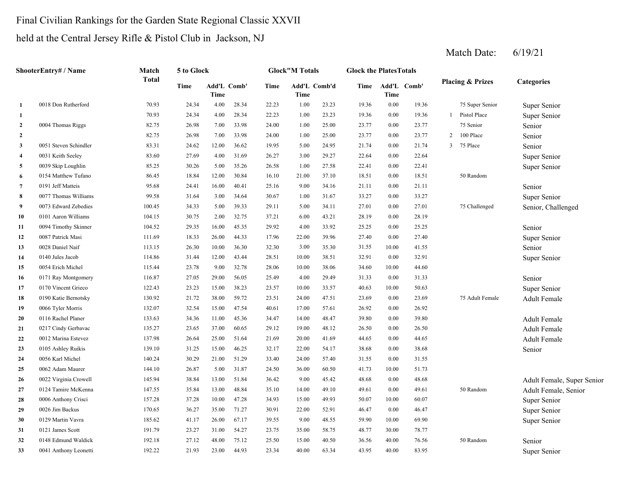## Final Civilian Rankings for the Garden State Regional Classic XXVII

## held at the Central Jersey Rifle & Pistol Club in Jackson, NJ

|                | ShooterEntry# / Name  | Match        | 5 to Glock |       |             |             | <b>Glock</b> "M Totals |              | <b>Glock the PlatesTotals</b> |       |             |                |                             |                            |
|----------------|-----------------------|--------------|------------|-------|-------------|-------------|------------------------|--------------|-------------------------------|-------|-------------|----------------|-----------------------------|----------------------------|
|                |                       | <b>Total</b> | Time       | Time  | Add'L Comb' | <b>Time</b> | Time                   | Add'L Comb'd | Time                          | Time  | Add'L Comb' |                | <b>Placing &amp; Prizes</b> | <b>Categories</b>          |
| $\mathbf{1}$   | 0018 Don Rutherford   | 70.93        | 24.34      | 4.00  | 28.34       | 22.23       | 1.00                   | 23.23        | 19.36                         | 0.00  | 19.36       |                | 75 Super Senior             | Super Senior               |
| $\mathbf{1}$   |                       | 70.93        | 24.34      | 4.00  | 28.34       | 22.23       | 1.00                   | 23.23        | 19.36                         | 0.00  | 19.36       | $\mathbf{1}$   | Pistol Place                | Super Senior               |
| $\overline{2}$ | 0004 Thomas Riggs     | 82.75        | 26.98      | 7.00  | 33.98       | 24.00       | 1.00                   | 25.00        | 23.77                         | 0.00  | 23.77       |                | 75 Senior                   | Senior                     |
| $\overline{2}$ |                       | 82.75        | 26.98      | 7.00  | 33.98       | 24.00       | 1.00                   | 25.00        | 23.77                         | 0.00  | 23.77       | $\overline{2}$ | 100 Place                   | Senior                     |
| $\mathbf{3}$   | 0051 Steven Schindler | 83.31        | 24.62      | 12.00 | 36.62       | 19.95       | 5.00                   | 24.95        | 21.74                         | 0.00  | 21.74       | 3              | 75 Place                    | Senior                     |
| $\overline{4}$ | 0031 Keith Seeley     | 83.60        | 27.69      | 4.00  | 31.69       | 26.27       | 3.00                   | 29.27        | 22.64                         | 0.00  | 22.64       |                |                             | Super Senior               |
| 5              | 0039 Skip Loughlin    | 85.25        | 30.26      | 5.00  | 35.26       | 26.58       | 1.00                   | 27.58        | 22.41                         | 0.00  | 22.41       |                |                             | Super Senior               |
| 6              | 0154 Matthew Tufano   | 86.45        | 18.84      | 12.00 | 30.84       | 16.10       | 21.00                  | 37.10        | 18.51                         | 0.00  | 18.51       |                | 50 Random                   |                            |
| $\overline{7}$ | 0191 Jeff Matteis     | 95.68        | 24.41      | 16.00 | 40.41       | 25.16       | 9.00                   | 34.16        | 21.11                         | 0.00  | 21.11       |                |                             | Senior                     |
| 8              | 0077 Thomas Williams  | 99.58        | 31.64      | 3.00  | 34.64       | 30.67       | 1.00                   | 31.67        | 33.27                         | 0.00  | 33.27       |                |                             | Super Senior               |
| 9              | 0073 Edward Zebedies  | 100.45       | 34.33      | 5.00  | 39.33       | 29.11       | 5.00                   | 34.11        | 27.01                         | 0.00  | 27.01       |                | 75 Challenged               | Senior, Challenged         |
| 10             | 0101 Aaron Williams   | 104.15       | 30.75      | 2.00  | 32.75       | 37.21       | 6.00                   | 43.21        | 28.19                         | 0.00  | 28.19       |                |                             |                            |
| 11             | 0094 Timothy Skinner  | 104.52       | 29.35      | 16.00 | 45.35       | 29.92       | 4.00                   | 33.92        | 25.25                         | 0.00  | 25.25       |                |                             | Senior                     |
| 12             | 0087 Patrick Masi     | 111.69       | 18.33      | 26.00 | 44.33       | 17.96       | 22.00                  | 39.96        | 27.40                         | 0.00  | 27.40       |                |                             | Super Senior               |
| 13             | 0028 Daniel Naif      | 113.15       | 26.30      | 10.00 | 36.30       | 32.30       | 3.00                   | 35.30        | 31.55                         | 10.00 | 41.55       |                |                             | Senior                     |
| 14             | 0140 Jules Jacob      | 114.86       | 31.44      | 12.00 | 43.44       | 28.51       | 10.00                  | 38.51        | 32.91                         | 0.00  | 32.91       |                |                             | Super Senior               |
| 15             | 0054 Erich Michel     | 115.44       | 23.78      | 9.00  | 32.78       | 28.06       | 10.00                  | 38.06        | 34.60                         | 10.00 | 44.60       |                |                             |                            |
| 16             | 0171 Ray Montgomery   | 116.87       | 27.05      | 29.00 | 56.05       | 25.49       | 4.00                   | 29.49        | 31.33                         | 0.00  | 31.33       |                |                             | Senior                     |
| 17             | 0170 Vincent Grieco   | 122.43       | 23.23      | 15.00 | 38.23       | 23.57       | 10.00                  | 33.57        | 40.63                         | 10.00 | 50.63       |                |                             | Super Senior               |
| 18             | 0190 Katie Bernotsky  | 130.92       | 21.72      | 38.00 | 59.72       | 23.51       | 24.00                  | 47.51        | 23.69                         | 0.00  | 23.69       |                | 75 Adult Female             | <b>Adult Female</b>        |
| 19             | 0066 Tyler Morris     | 132.07       | 32.54      | 15.00 | 47.54       | 40.61       | 17.00                  | 57.61        | 26.92                         | 0.00  | 26.92       |                |                             |                            |
| 20             | 0116 Rachel Planer    | 133.63       | 34.36      | 11.00 | 45.36       | 34.47       | 14.00                  | 48.47        | 39.80                         | 0.00  | 39.80       |                |                             | Adult Female               |
| 21             | 0217 Cindy Gerbavac   | 135.27       | 23.65      | 37.00 | 60.65       | 29.12       | 19.00                  | 48.12        | 26.50                         | 0.00  | 26.50       |                |                             | <b>Adult Female</b>        |
| 22             | 0012 Marina Estevez   | 137.98       | 26.64      | 25.00 | 51.64       | 21.69       | 20.00                  | 41.69        | 44.65                         | 0.00  | 44.65       |                |                             | <b>Adult Female</b>        |
| 23             | 0105 Ashley Ruikis    | 139.10       | 31.25      | 15.00 | 46.25       | 32.17       | 22.00                  | 54.17        | 38.68                         | 0.00  | 38.68       |                |                             | Senior                     |
| 24             | 0056 Karl Michel      | 140.24       | 30.29      | 21.00 | 51.29       | 33.40       | 24.00                  | 57.40        | 31.55                         | 0.00  | 31.55       |                |                             |                            |
| 25             | 0062 Adam Maurer      | 144.10       | 26.87      | 5.00  | 31.87       | 24.50       | 36.00                  | 60.50        | 41.73                         | 10.00 | 51.73       |                |                             |                            |
| 26             | 0022 Virginia Crowell | 145.94       | 38.84      | 13.00 | 51.84       | 36.42       | 9.00                   | 45.42        | 48.68                         | 0.00  | 48.68       |                |                             | Adult Female, Super Senior |
| 27             | 0124 Tamire McKenna   | 147.55       | 35.84      | 13.00 | 48.84       | 35.10       | 14.00                  | 49.10        | 49.61                         | 0.00  | 49.61       |                | 50 Random                   | Adult Female, Senior       |
| 28             | 0006 Anthony Crisci   | 157.28       | 37.28      | 10.00 | 47.28       | 34.93       | 15.00                  | 49.93        | 50.07                         | 10.00 | 60.07       |                |                             | Super Senior               |
| 29             | 0026 Jim Backus       | 170.65       | 36.27      | 35.00 | 71.27       | 30.91       | 22.00                  | 52.91        | 46.47                         | 0.00  | 46.47       |                |                             | Super Senior               |
| 30             | 0129 Martin Vavra     | 185.62       | 41.17      | 26.00 | 67.17       | 39.55       | 9.00                   | 48.55        | 59.90                         | 10.00 | 69.90       |                |                             | Super Senior               |
| 31             | 0121 James Scott      | 191.79       | 23.27      | 31.00 | 54.27       | 23.75       | 35.00                  | 58.75        | 48.77                         | 30.00 | 78.77       |                |                             |                            |
| 32             | 0148 Edmund Waldick   | 192.18       | 27.12      | 48.00 | 75.12       | 25.50       | 15.00                  | 40.50        | 36.56                         | 40.00 | 76.56       |                | 50 Random                   | Senior                     |
| 33             | 0041 Anthony Leonetti | 192.22       | 21.93      | 23.00 | 44.93       | 23.34       | 40.00                  | 63.34        | 43.95                         | 40.00 | 83.95       |                |                             | Super Senior               |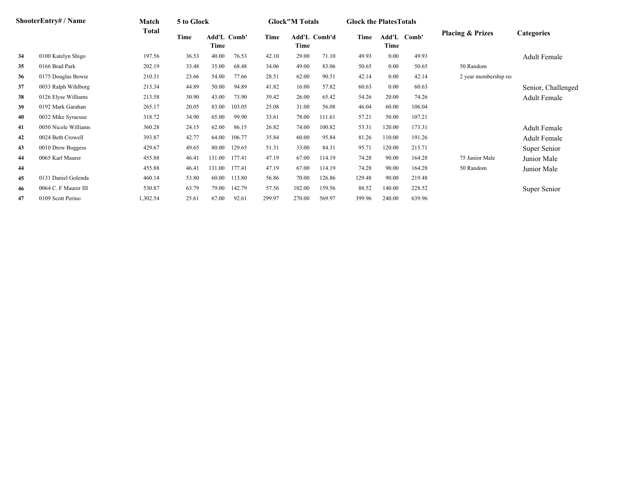|    | ShooterEntry# / Name | Match        | 5 to Glock |                            |        |        | <b>Glock"M Totals</b>       |        | <b>Glock the Plates Totals</b> |        |             |                             |                     |
|----|----------------------|--------------|------------|----------------------------|--------|--------|-----------------------------|--------|--------------------------------|--------|-------------|-----------------------------|---------------------|
|    |                      | <b>Total</b> | Time       | <b>Add'L Comb'</b><br>Time |        | Time   | <b>Add'L Comb'd</b><br>Time |        | Time                           | Time   | Add'L Comb' | <b>Placing &amp; Prizes</b> | <b>Categories</b>   |
| 34 | 0100 Katelyn Shigo   | 197.56       | 36.53      | 40.00                      | 76.53  | 42.10  | 29.00                       | 71.10  | 49.93                          | 0.00   | 49.93       |                             | <b>Adult Female</b> |
| 35 | 0166 Brad Park       | 202.19       | 33.48      | 35.00                      | 68.48  | 34.06  | 49.00                       | 83.06  | 50.65                          | 0.00   | 50.65       | 50 Random                   |                     |
| 36 | 0175 Douglas Bowie   | 210.31       | 23.66      | 54.00                      | 77.66  | 28.51  | 62.00                       | 90.51  | 42.14                          | 0.00   | 42.14       | 2 year membership rei       |                     |
| 37 | 0033 Ralph Wihlborg  | 213.34       | 44.89      | 50.00                      | 94.89  | 41.82  | 16.00                       | 57.82  | 60.63                          | 0.00   | 60.63       |                             | Senior, Challenged  |
| 38 | 0126 Elyse Williams  | 213.58       | 30.90      | 43.00                      | 73.90  | 39.42  | 26.00                       | 65.42  | 54.26                          | 20.00  | 74.26       |                             | Adult Female        |
| 39 | 0192 Mark Garahan    | 265.17       | 20.05      | 83.00                      | 103.05 | 25.08  | 31.00                       | 56.08  | 46.04                          | 60.00  | 106.04      |                             |                     |
| 40 | 0032 Mike Syracuse   | 318.72       | 34.90      | 65.00                      | 99.90  | 33.61  | 78.00                       | 111.61 | 57.21                          | 50.00  | 107.21      |                             |                     |
| 41 | 0050 Nicole Williams | 360.28       | 24.15      | 62.00                      | 86.15  | 26.82  | 74.00                       | 100.82 | 53.31                          | 120.00 | 173.31      |                             | <b>Adult Female</b> |
| 42 | 0024 Beth Crowell    | 393.87       | 42.77      | 64.00                      | 106.77 | 35.84  | 60.00                       | 95.84  | 81.26                          | 110.00 | 191.26      |                             | <b>Adult Female</b> |
| 43 | 0010 Drew Boggess    | 429.67       | 49.65      | 80.00                      | 129.65 | 51.31  | 33.00                       | 84.31  | 95.71                          | 120.00 | 215.71      |                             | Super Senior        |
| 44 | 0065 Karl Maurer     | 455.88       | 46.41      | 131.00                     | 177.41 | 47.19  | 67.00                       | 114.19 | 74.28                          | 90.00  | 164.28      | 75 Junior Male              | Junior Male         |
| 44 |                      | 455.88       | 46.41      | 131.00                     | 177.41 | 47.19  | 67.00                       | 114.19 | 74.28                          | 90.00  | 164.28      | 50 Random                   | Junior Male         |
| 45 | 0131 Daniel Golenda  | 460.14       | 53.80      | 60.00                      | 113.80 | 56.86  | 70.00                       | 126.86 | 129.48                         | 90.00  | 219.48      |                             |                     |
| 46 | 0064 C. F Maurer III | 530.87       | 63.79      | 79.00                      | 142.79 | 57.56  | 102.00                      | 159.56 | 88.52                          | 140.00 | 228.52      |                             | Super Senior        |
| 47 | 0109 Scott Perino    | 1,302.54     | 25.61      | 67.00                      | 92.61  | 299.97 | 270.00                      | 569.97 | 399.96                         | 240.00 | 639.96      |                             |                     |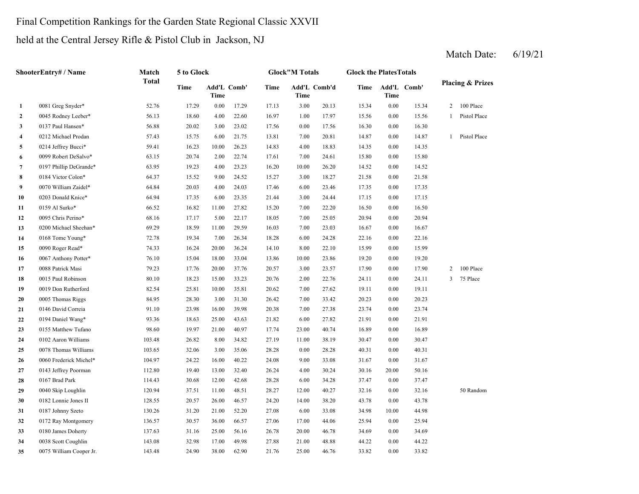## Final Competition Rankings for the Garden State Regional Classic XXVII

## held at the Central Jersey Rifle & Pistol Club in Jackson, NJ

|              | ShooterEntry# / Name    | Match        | 5 to Glock |       |             |       | <b>Glock</b> "M Totals |              | <b>Glock the Plates Totals</b> |          |             |                |                             |
|--------------|-------------------------|--------------|------------|-------|-------------|-------|------------------------|--------------|--------------------------------|----------|-------------|----------------|-----------------------------|
|              |                         | <b>Total</b> | Time       | Time  | Add'L Comb' | Time  | Time                   | Add'L Comb'd | Time                           | Time     | Add'L Comb' |                | <b>Placing &amp; Prizes</b> |
| 1            | 0081 Greg Snyder*       | 52.76        | 17.29      | 0.00  | 17.29       | 17.13 | 3.00                   | 20.13        | 15.34                          | 0.00     | 15.34       | $\overline{2}$ | 100 Place                   |
| $\mathbf{2}$ | 0045 Rodney Leeber*     | 56.13        | 18.60      | 4.00  | 22.60       | 16.97 | 1.00                   | 17.97        | 15.56                          | 0.00     | 15.56       | $\mathbf{1}$   | Pistol Place                |
| 3            | 0137 Paul Hansen*       | 56.88        | 20.02      | 3.00  | 23.02       | 17.56 | 0.00                   | 17.56        | 16.30                          | 0.00     | 16.30       |                |                             |
| 4            | 0212 Michael Prodan     | 57.43        | 15.75      | 6.00  | 21.75       | 13.81 | 7.00                   | 20.81        | 14.87                          | $0.00\,$ | 14.87       | $\mathbf{1}$   | Pistol Place                |
| 5            | 0214 Jeffrey Bucci*     | 59.41        | 16.23      | 10.00 | 26.23       | 14.83 | 4.00                   | 18.83        | 14.35                          | 0.00     | 14.35       |                |                             |
| 6            | 0099 Robert DeSalvo*    | 63.15        | 20.74      | 2.00  | 22.74       | 17.61 | 7.00                   | 24.61        | 15.80                          | 0.00     | 15.80       |                |                             |
| 7            | 0197 Phillip DeGrande*  | 63.95        | 19.23      | 4.00  | 23.23       | 16.20 | 10.00                  | 26.20        | 14.52                          | 0.00     | 14.52       |                |                             |
| 8            | 0184 Victor Colon*      | 64.37        | 15.52      | 9.00  | 24.52       | 15.27 | 3.00                   | 18.27        | 21.58                          | 0.00     | 21.58       |                |                             |
| 9            | 0070 William Zaidel*    | 64.84        | 20.03      | 4.00  | 24.03       | 17.46 | 6.00                   | 23.46        | 17.35                          | 0.00     | 17.35       |                |                             |
| 10           | 0203 Donald Knice*      | 64.94        | 17.35      | 6.00  | 23.35       | 21.44 | 3.00                   | 24.44        | 17.15                          | 0.00     | 17.15       |                |                             |
| 11           | 0159 Al Surko*          | 66.52        | 16.82      | 11.00 | 27.82       | 15.20 | 7.00                   | 22.20        | 16.50                          | 0.00     | 16.50       |                |                             |
| 12           | 0095 Chris Perino*      | 68.16        | 17.17      | 5.00  | 22.17       | 18.05 | 7.00                   | 25.05        | 20.94                          | 0.00     | 20.94       |                |                             |
| 13           | 0200 Michael Sheehan*   | 69.29        | 18.59      | 11.00 | 29.59       | 16.03 | 7.00                   | 23.03        | 16.67                          | $0.00\,$ | 16.67       |                |                             |
| 14           | 0168 Tome Young*        | 72.78        | 19.34      | 7.00  | 26.34       | 18.28 | 6.00                   | 24.28        | 22.16                          | 0.00     | 22.16       |                |                             |
| 15           | 0090 Roger Read*        | 74.33        | 16.24      | 20.00 | 36.24       | 14.10 | 8.00                   | 22.10        | 15.99                          | $0.00\,$ | 15.99       |                |                             |
| 16           | 0067 Anthony Potter*    | 76.10        | 15.04      | 18.00 | 33.04       | 13.86 | 10.00                  | 23.86        | 19.20                          | 0.00     | 19.20       |                |                             |
| 17           | 0088 Patrick Masi       | 79.23        | 17.76      | 20.00 | 37.76       | 20.57 | 3.00                   | 23.57        | 17.90                          | 0.00     | 17.90       | $\overline{2}$ | 100 Place                   |
| 18           | 0015 Paul Robinson      | 80.10        | 18.23      | 15.00 | 33.23       | 20.76 | 2.00                   | 22.76        | 24.11                          | 0.00     | 24.11       | 3              | 75 Place                    |
| 19           | 0019 Don Rutherford     | 82.54        | 25.81      | 10.00 | 35.81       | 20.62 | 7.00                   | 27.62        | 19.11                          | 0.00     | 19.11       |                |                             |
| 20           | 0005 Thomas Riggs       | 84.95        | 28.30      | 3.00  | 31.30       | 26.42 | 7.00                   | 33.42        | 20.23                          | $0.00\,$ | 20.23       |                |                             |
| 21           | 0146 David Correia      | 91.10        | 23.98      | 16.00 | 39.98       | 20.38 | 7.00                   | 27.38        | 23.74                          | 0.00     | 23.74       |                |                             |
| 22           | 0194 Daniel Wang*       | 93.36        | 18.63      | 25.00 | 43.63       | 21.82 | 6.00                   | 27.82        | 21.91                          | 0.00     | 21.91       |                |                             |
| 23           | 0155 Matthew Tufano     | 98.60        | 19.97      | 21.00 | 40.97       | 17.74 | 23.00                  | 40.74        | 16.89                          | 0.00     | 16.89       |                |                             |
| 24           | 0102 Aaron Williams     | 103.48       | 26.82      | 8.00  | 34.82       | 27.19 | 11.00                  | 38.19        | 30.47                          | 0.00     | 30.47       |                |                             |
| 25           | 0078 Thomas Williams    | 103.65       | 32.06      | 3.00  | 35.06       | 28.28 | 0.00                   | 28.28        | 40.31                          | 0.00     | 40.31       |                |                             |
| 26           | 0060 Frederick Michel*  | 104.97       | 24.22      | 16.00 | 40.22       | 24.08 | 9.00                   | 33.08        | 31.67                          | 0.00     | 31.67       |                |                             |
| 27           | 0143 Jeffrey Poorman    | 112.80       | 19.40      | 13.00 | 32.40       | 26.24 | 4.00                   | 30.24        | 30.16                          | 20.00    | 50.16       |                |                             |
| 28           | 0167 Brad Park          | 114.43       | 30.68      | 12.00 | 42.68       | 28.28 | 6.00                   | 34.28        | 37.47                          | 0.00     | 37.47       |                |                             |
| 29           | 0040 Skip Loughlin      | 120.94       | 37.51      | 11.00 | 48.51       | 28.27 | 12.00                  | 40.27        | 32.16                          | $0.00\,$ | 32.16       |                | 50 Random                   |
| 30           | 0182 Lonnie Jones II    | 128.55       | 20.57      | 26.00 | 46.57       | 24.20 | 14.00                  | 38.20        | 43.78                          | 0.00     | 43.78       |                |                             |
| 31           | 0187 Johnny Szeto       | 130.26       | 31.20      | 21.00 | 52.20       | 27.08 | 6.00                   | 33.08        | 34.98                          | 10.00    | 44.98       |                |                             |
| 32           | 0172 Ray Montgomery     | 136.57       | 30.57      | 36.00 | 66.57       | 27.06 | 17.00                  | 44.06        | 25.94                          | 0.00     | 25.94       |                |                             |
| 33           | 0180 James Doherty      | 137.63       | 31.16      | 25.00 | 56.16       | 26.78 | 20.00                  | 46.78        | 34.69                          | $0.00\,$ | 34.69       |                |                             |
| 34           | 0038 Scott Coughlin     | 143.08       | 32.98      | 17.00 | 49.98       | 27.88 | 21.00                  | 48.88        | 44.22                          | 0.00     | 44.22       |                |                             |
| 35           | 0075 William Cooper Jr. | 143.48       | 24.90      | 38.00 | 62.90       | 21.76 | 25.00                  | 46.76        | 33.82                          | 0.00     | 33.82       |                |                             |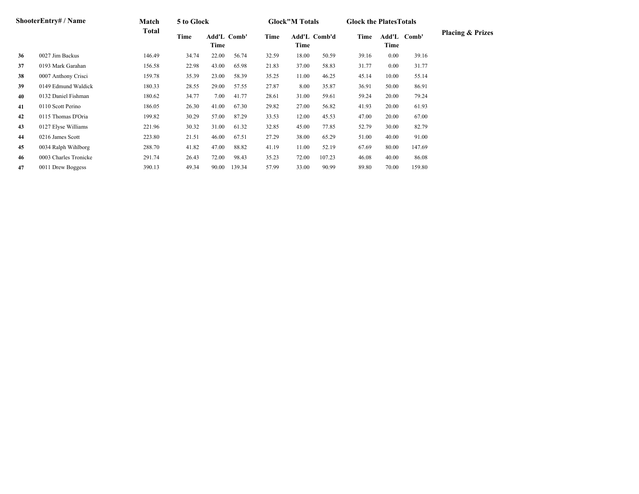|    | <b>ShooterEntry#/Name</b> | Match  | 5 to Glock |                     |        |       | <b>Glock</b> "M Totals |                     | <b>Glock the PlatesTotals</b> |          |             |                             |
|----|---------------------------|--------|------------|---------------------|--------|-------|------------------------|---------------------|-------------------------------|----------|-------------|-----------------------------|
|    |                           | Total  | Time       | Add'L Comb'<br>Time |        | Time  | Time                   | <b>Add'L Comb'd</b> | Time                          | Time     | Add'L Comb' | <b>Placing &amp; Prizes</b> |
| 36 | 0027 Jim Backus           | 146.49 | 34.74      | 22.00               | 56.74  | 32.59 | 18.00                  | 50.59               | 39.16                         | $0.00\,$ | 39.16       |                             |
| 37 | 0193 Mark Garahan         | 156.58 | 22.98      | 43.00               | 65.98  | 21.83 | 37.00                  | 58.83               | 31.77                         | $0.00\,$ | 31.77       |                             |
| 38 | 0007 Anthony Crisci       | 159.78 | 35.39      | 23.00               | 58.39  | 35.25 | 11.00                  | 46.25               | 45.14                         | 10.00    | 55.14       |                             |
| 39 | 0149 Edmund Waldick       | 180.33 | 28.55      | 29.00               | 57.55  | 27.87 | 8.00                   | 35.87               | 36.91                         | 50.00    | 86.91       |                             |
| 40 | 0132 Daniel Fishman       | 180.62 | 34.77      | 7.00                | 41.77  | 28.61 | 31.00                  | 59.61               | 59.24                         | 20.00    | 79.24       |                             |
| 41 | 0110 Scott Perino         | 186.05 | 26.30      | 41.00               | 67.30  | 29.82 | 27.00                  | 56.82               | 41.93                         | 20.00    | 61.93       |                             |
| 42 | 0115 Thomas D'Oria        | 199.82 | 30.29      | 57.00               | 87.29  | 33.53 | 12.00                  | 45.53               | 47.00                         | 20.00    | 67.00       |                             |
| 43 | 0127 Elyse Williams       | 221.96 | 30.32      | 31.00               | 61.32  | 32.85 | 45.00                  | 77.85               | 52.79                         | 30.00    | 82.79       |                             |
| 44 | 0216 James Scott          | 223.80 | 21.51      | 46.00               | 67.51  | 27.29 | 38.00                  | 65.29               | 51.00                         | 40.00    | 91.00       |                             |
| 45 | 0034 Ralph Wihlborg       | 288.70 | 41.82      | 47.00               | 88.82  | 41.19 | 11.00                  | 52.19               | 67.69                         | 80.00    | 147.69      |                             |
| 46 | 0003 Charles Tronicke     | 291.74 | 26.43      | 72.00               | 98.43  | 35.23 | 72.00                  | 107.23              | 46.08                         | 40.00    | 86.08       |                             |
| 47 | 0011 Drew Boggess         | 390.13 | 49.34      | 90.00               | 139.34 | 57.99 | 33.00                  | 90.99               | 89.80                         | 70.00    | 159.80      |                             |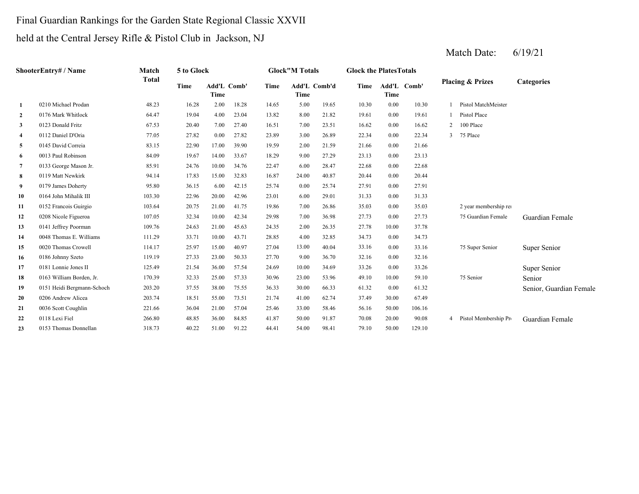## Final Guardian Rankings for the Garden State Regional Classic XXVII

## held at the Central Jersey Rifle & Pistol Club in Jackson, NJ

|                  | <b>ShooterEntry#/Name</b>  | Match        | 5 to Glock |                     |       |       | <b>Glock"M Totals</b> |              | <b>Glock the Plates Totals</b> |       |             |                |                             |                         |
|------------------|----------------------------|--------------|------------|---------------------|-------|-------|-----------------------|--------------|--------------------------------|-------|-------------|----------------|-----------------------------|-------------------------|
|                  |                            | <b>Total</b> | Time       | Add'L Comb'<br>Time |       | Time  | Time                  | Add'L Comb'd | Time                           | Time  | Add'L Comb' |                | <b>Placing &amp; Prizes</b> | <b>Categories</b>       |
| 1                | 0210 Michael Prodan        | 48.23        | 16.28      | 2.00                | 18.28 | 14.65 | 5.00                  | 19.65        | 10.30                          | 0.00  | 10.30       |                | Pistol MatchMeister         |                         |
| $\boldsymbol{2}$ | 0176 Mark Whitlock         | 64.47        | 19.04      | 4.00                | 23.04 | 13.82 | 8.00                  | 21.82        | 19.61                          | 0.00  | 19.61       |                | Pistol Place                |                         |
| 3                | 0123 Donald Fritz          | 67.53        | 20.40      | 7.00                | 27.40 | 16.51 | 7.00                  | 23.51        | 16.62                          | 0.00  | 16.62       | $\overline{2}$ | 100 Place                   |                         |
| 4                | 0112 Daniel D'Oria         | 77.05        | 27.82      | 0.00                | 27.82 | 23.89 | 3.00                  | 26.89        | 22.34                          | 0.00  | 22.34       | $\mathbf{3}$   | 75 Place                    |                         |
| 5                | 0145 David Correia         | 83.15        | 22.90      | 17.00               | 39.90 | 19.59 | 2.00                  | 21.59        | 21.66                          | 0.00  | 21.66       |                |                             |                         |
| 6                | 0013 Paul Robinson         | 84.09        | 19.67      | 14.00               | 33.67 | 18.29 | 9.00                  | 27.29        | 23.13                          | 0.00  | 23.13       |                |                             |                         |
| 7                | 0133 George Mason Jr.      | 85.91        | 24.76      | 10.00               | 34.76 | 22.47 | 6.00                  | 28.47        | 22.68                          | 0.00  | 22.68       |                |                             |                         |
| 8                | 0119 Matt Newkirk          | 94.14        | 17.83      | 15.00               | 32.83 | 16.87 | 24.00                 | 40.87        | 20.44                          | 0.00  | 20.44       |                |                             |                         |
| 9                | 0179 James Doherty         | 95.80        | 36.15      | 6.00                | 42.15 | 25.74 | 0.00                  | 25.74        | 27.91                          | 0.00  | 27.91       |                |                             |                         |
| 10               | 0164 John Mihalik III      | 103.30       | 22.96      | 20.00               | 42.96 | 23.01 | 6.00                  | 29.01        | 31.33                          | 0.00  | 31.33       |                |                             |                         |
| 11               | 0152 Francois Guirgio      | 103.64       | 20.75      | 21.00               | 41.75 | 19.86 | 7.00                  | 26.86        | 35.03                          | 0.00  | 35.03       |                | 2 year membership rei       |                         |
| 12               | 0208 Nicole Figueroa       | 107.05       | 32.34      | 10.00               | 42.34 | 29.98 | 7.00                  | 36.98        | 27.73                          | 0.00  | 27.73       |                | 75 Guardian Female          | Guardian Female         |
| 13               | 0141 Jeffrey Poorman       | 109.76       | 24.63      | 21.00               | 45.63 | 24.35 | 2.00                  | 26.35        | 27.78                          | 10.00 | 37.78       |                |                             |                         |
| 14               | 0048 Thomas E. Williams    | 111.29       | 33.71      | 10.00               | 43.71 | 28.85 | 4.00                  | 32.85        | 34.73                          | 0.00  | 34.73       |                |                             |                         |
| 15               | 0020 Thomas Crowell        | 114.17       | 25.97      | 15.00               | 40.97 | 27.04 | 13.00                 | 40.04        | 33.16                          | 0.00  | 33.16       |                | 75 Super Senior             | Super Senior            |
| 16               | 0186 Johnny Szeto          | 119.19       | 27.33      | 23.00               | 50.33 | 27.70 | 9.00                  | 36.70        | 32.16                          | 0.00  | 32.16       |                |                             |                         |
| 17               | 0181 Lonnie Jones II       | 125.49       | 21.54      | 36.00               | 57.54 | 24.69 | 10.00                 | 34.69        | 33.26                          | 0.00  | 33.26       |                |                             | Super Senior            |
| 18               | 0163 William Borden, Jr.   | 170.39       | 32.33      | 25.00               | 57.33 | 30.96 | 23.00                 | 53.96        | 49.10                          | 10.00 | 59.10       |                | 75 Senior                   | Senior                  |
| 19               | 0151 Heidi Bergmann-Schoch | 203.20       | 37.55      | 38.00               | 75.55 | 36.33 | 30.00                 | 66.33        | 61.32                          | 0.00  | 61.32       |                |                             | Senior, Guardian Female |
| 20               | 0206 Andrew Alicea         | 203.74       | 18.51      | 55.00               | 73.51 | 21.74 | 41.00                 | 62.74        | 37.49                          | 30.00 | 67.49       |                |                             |                         |
| 21               | 0036 Scott Coughlin        | 221.66       | 36.04      | 21.00               | 57.04 | 25.46 | 33.00                 | 58.46        | 56.16                          | 50.00 | 106.16      |                |                             |                         |
| 22               | 0118 Lexi Fiel             | 266.80       | 48.85      | 36.00               | 84.85 | 41.87 | 50.00                 | 91.87        | 70.08                          | 20.00 | 90.08       |                | Pistol Membership Pro       | Guardian Female         |
| 23               | 0153 Thomas Donnellan      | 318.73       | 40.22      | 51.00               | 91.22 | 44.41 | 54.00                 | 98.41        | 79.10                          | 50.00 | 129.10      |                |                             |                         |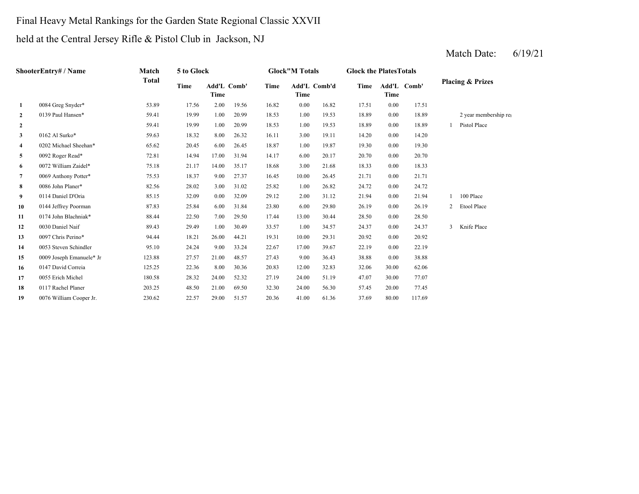## Final Heavy Metal Rankings for the Garden State Regional Classic XXVII

## held at the Central Jersey Rifle & Pistol Club in Jackson, NJ

|                | <b>ShooterEntry#/Name</b> | Match        | 5 to Glock |                            |       |       | <b>Glock"M Totals</b> |              | <b>Glock the PlatesTotals</b> |                     |        |   |                             |
|----------------|---------------------------|--------------|------------|----------------------------|-------|-------|-----------------------|--------------|-------------------------------|---------------------|--------|---|-----------------------------|
|                |                           | <b>Total</b> | Time       | <b>Add'L Comb'</b><br>Time |       | Time  | Time                  | Add'L Comb'd | Time                          | Add'L Comb'<br>Time |        |   | <b>Placing &amp; Prizes</b> |
| 1              | 0084 Greg Snyder*         | 53.89        | 17.56      | 2.00                       | 19.56 | 16.82 | 0.00                  | 16.82        | 17.51                         | 0.00                | 17.51  |   |                             |
| $\mathbf{2}$   | 0139 Paul Hansen*         | 59.41        | 19.99      | 1.00                       | 20.99 | 18.53 | 1.00                  | 19.53        | 18.89                         | 0.00                | 18.89  |   | 2 year membership rei       |
| $\mathbf{2}$   |                           | 59.41        | 19.99      | 1.00                       | 20.99 | 18.53 | 1.00                  | 19.53        | 18.89                         | 0.00                | 18.89  |   | Pistol Place                |
| 3              | 0162 Al Surko*            | 59.63        | 18.32      | 8.00                       | 26.32 | 16.11 | 3.00                  | 19.11        | 14.20                         | 0.00                | 14.20  |   |                             |
| 4              | 0202 Michael Sheehan*     | 65.62        | 20.45      | 6.00                       | 26.45 | 18.87 | 1.00                  | 19.87        | 19.30                         | 0.00                | 19.30  |   |                             |
| 5              | 0092 Roger Read*          | 72.81        | 14.94      | 17.00                      | 31.94 | 14.17 | 6.00                  | 20.17        | 20.70                         | 0.00                | 20.70  |   |                             |
| 6              | 0072 William Zaidel*      | 75.18        | 21.17      | 14.00                      | 35.17 | 18.68 | 3.00                  | 21.68        | 18.33                         | 0.00                | 18.33  |   |                             |
| $\overline{7}$ | 0069 Anthony Potter*      | 75.53        | 18.37      | 9.00                       | 27.37 | 16.45 | 10.00                 | 26.45        | 21.71                         | 0.00                | 21.71  |   |                             |
| 8              | 0086 John Planer*         | 82.56        | 28.02      | 3.00                       | 31.02 | 25.82 | 1.00                  | 26.82        | 24.72                         | 0.00                | 24.72  |   |                             |
| 9              | 0114 Daniel D'Oria        | 85.15        | 32.09      | 0.00                       | 32.09 | 29.12 | 2.00                  | 31.12        | 21.94                         | 0.00                | 21.94  |   | 100 Place                   |
| 10             | 0144 Jeffrey Poorman      | 87.83        | 25.84      | 6.00                       | 31.84 | 23.80 | 6.00                  | 29.80        | 26.19                         | 0.00                | 26.19  | 2 | Etool Place                 |
| 11             | 0174 John Blachniak*      | 88.44        | 22.50      | 7.00                       | 29.50 | 17.44 | 13.00                 | 30.44        | 28.50                         | 0.00                | 28.50  |   |                             |
| 12             | 0030 Daniel Naif          | 89.43        | 29.49      | 1.00                       | 30.49 | 33.57 | 1.00                  | 34.57        | 24.37                         | 0.00                | 24.37  | 3 | Knife Place                 |
| 13             | 0097 Chris Perino*        | 94.44        | 18.21      | 26.00                      | 44.21 | 19.31 | 10.00                 | 29.31        | 20.92                         | 0.00                | 20.92  |   |                             |
| 14             | 0053 Steven Schindler     | 95.10        | 24.24      | 9.00                       | 33.24 | 22.67 | 17.00                 | 39.67        | 22.19                         | 0.00                | 22.19  |   |                             |
| 15             | 0009 Joseph Emanuele* Jr  | 123.88       | 27.57      | 21.00                      | 48.57 | 27.43 | 9.00                  | 36.43        | 38.88                         | 0.00                | 38.88  |   |                             |
| 16             | 0147 David Correia        | 125.25       | 22.36      | 8.00                       | 30.36 | 20.83 | 12.00                 | 32.83        | 32.06                         | 30.00               | 62.06  |   |                             |
| 17             | 0055 Erich Michel         | 180.58       | 28.32      | 24.00                      | 52.32 | 27.19 | 24.00                 | 51.19        | 47.07                         | 30.00               | 77.07  |   |                             |
| 18             | 0117 Rachel Planer        | 203.25       | 48.50      | 21.00                      | 69.50 | 32.30 | 24.00                 | 56.30        | 57.45                         | 20.00               | 77.45  |   |                             |
| 19             | 0076 William Cooper Jr.   | 230.62       | 22.57      | 29.00                      | 51.57 | 20.36 | 41.00                 | 61.36        | 37.69                         | 80.00               | 117.69 |   |                             |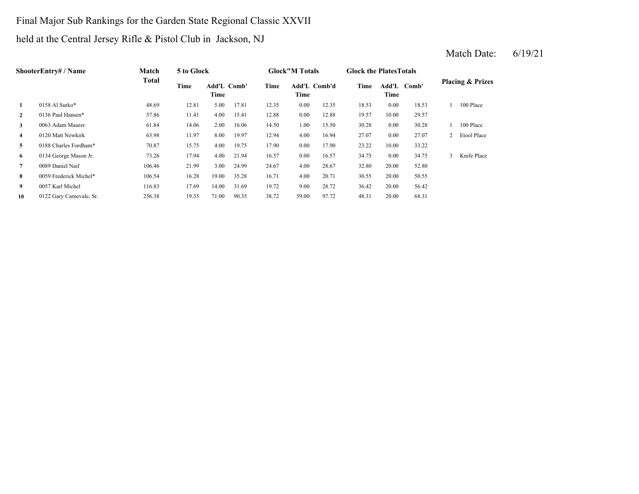## Final Major Sub Rankings for the Garden State Regional Classic XXVII

## held at the Central Jersey Rifle & Pistol Club in Jackson, NJ

|                | <b>ShooterEntry# / Name</b> | Match        | 5 to Glock |                            |       |       | <b>Glock</b> "M Totals |       | <b>Glock the Plates Totals</b> |                     |       |               |                             |
|----------------|-----------------------------|--------------|------------|----------------------------|-------|-------|------------------------|-------|--------------------------------|---------------------|-------|---------------|-----------------------------|
|                |                             | <b>Total</b> | Time       | <b>Add'L Comb'</b><br>Time |       | Time  | Add'L Comb'd<br>Time   |       | Time                           | Add'L Comb'<br>Time |       |               | <b>Placing &amp; Prizes</b> |
| 1              | 0158 Al Surko*              | 48.69        | 12.81      | 5.00                       | 17.81 | 12.35 | 0.00                   | 12.35 | 18.53                          | 0.00                | 18.53 |               | 100 Place                   |
| $\mathbf{2}$   | 0136 Paul Hansen*           | 57.86        | 11.41      | 4.00                       | 15.41 | 12.88 | 0.00                   | 12.88 | 19.57                          | 10.00               | 29.57 |               |                             |
| 3              | 0063 Adam Maurer            | 61.84        | 14.06      | 2.00                       | 16.06 | 14.50 | 1.00                   | 15.50 | 30.28                          | 0.00                | 30.28 |               | 100 Place                   |
| $\overline{4}$ | 0120 Matt Newkirk           | 63.98        | 11.97      | 8.00                       | 19.97 | 12.94 | 4.00                   | 16.94 | 27.07                          | 0.00                | 27.07 | 2             | Etool Place                 |
| 5              | 0188 Charles Fordham*       | 70.87        | 15.75      | 4.00                       | 19.75 | 17.90 | 0.00                   | 17.90 | 23.22                          | 10.00               | 33.22 |               |                             |
| 6              | 0134 George Mason Jr.       | 73.26        | 17.94      | 4.00                       | 21.94 | 16.57 | 0.00                   | 16.57 | 34.75                          | 0.00                | 34.75 | $\mathcal{Z}$ | Knife Place                 |
| 7              | 0089 Daniel Naif            | 106.46       | 21.99      | 3.00                       | 24.99 | 24.67 | 4.00                   | 28.67 | 32.80                          | 20.00               | 52.80 |               |                             |
| 8              | 0059 Frederick Michel*      | 106.54       | 16.28      | 19.00                      | 35.28 | 16.71 | 4.00                   | 20.71 | 30.55                          | 20.00               | 50.55 |               |                             |
| 9              | 0057 Karl Michel            | 116.83       | 17.69      | 14.00                      | 31.69 | 19.72 | 9.00                   | 28.72 | 36.42                          | 20.00               | 56.42 |               |                             |
| 10             | 0122 Gary Carnevale, Sr.    | 256.38       | 19.35      | 71.00                      | 90.35 | 38.72 | 59.00                  | 97.72 | 48.31                          | 20.00               | 68.31 |               |                             |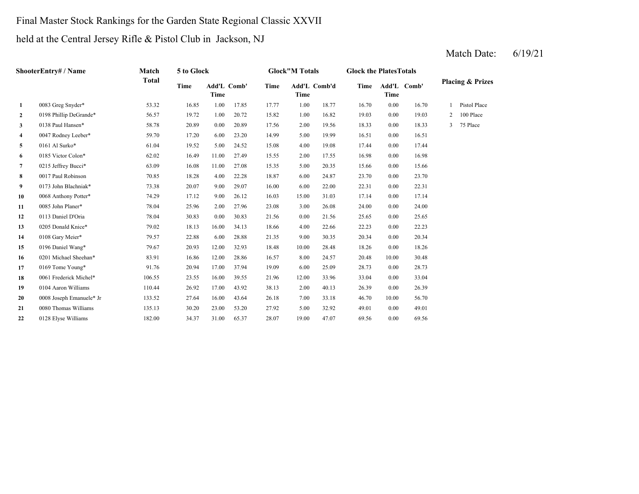#### Final Master Stock Rankings for the Garden State Regional Classic XXVII

#### held at the Central Jersey Rifle & Pistol Club in Jackson, NJ

#### Match Date: 6/19/21

**2** 1.00 19.03 0198 Phillip DeGrande\* 56.57 19.72 1.00 20.72 15.82 16.82 0.00 19.03 2 100 Place **3**0138 Paul Hansen\* 58.78 20.89 0.00 20.89 17.56 2.00 19.56 18.33 **4** 5.00 16.51 0047 Rodney Leeber\* 59.70 17.20 6.00 23.20 14.99 19.99 0.00 16.51 **5**0161 Al Surko\* 61.04 19.52 5.00 24.52 15.08 4.00 19.08 17.44 **6** 2.00 16.98 0185 Victor Colon\* 62.02 16.49 11.00 27.49 15.55 17.55 0.00 16.98 **7** 5.00 15.66 0215 Jeffrey Bucci\* 63.09 16.08 11.00 27.08 15.35 20.35 0.00 15.66 **8** 6.00 23.70 0017 Paul Robinson 70.85 18.28 4.00 22.28 18.87 24.87 0.00 23.70 **9** 6.00 22.31 0173 John Blachniak\* 73.38 20.07 9.00 29.07 16.00 22.00 0.00 22.31 **10**0 0068 Anthony Potter\* 74.29 17.12 9.00 26.12 16.03 15.00 31.03 17.14 0.00 17.14 **11** 3.00 24.00 0085 John Planer\* 78.04 25.96 2.00 27.96 23.08 26.08 0.00 24.00 **12** 0.00 25.65 0113 Daniel D'Oria 78.04 30.83 0.00 30.83 21.56 21.56 0.00 25.65 **13** 4.00 22.23 0205 Donald Knice\* 79.02 18.13 16.00 34.13 18.66 22.66 0.00 22.23 **14** 9.00 20.34 0108 Gary Meier\* 79.57 22.88 6.00 28.88 21.35 30.35 0.00 20.34 **15** 10.00 18.26 0196 Daniel Wang\* 79.67 20.93 12.00 32.93 18.48 28.48 0.00 18.26 **16** 8.00 20.48 0201 Michael Sheehan\* 83.91 16.86 12.00 28.86 16.57 24.57 10.00 30.48 **17**7 0169 Tome Young\* 91.76 20.94 17.00 37.94 19.09 6.00 25.09 28.73 0.00 28.73 **18** 12.00 33.04 0061 Frederick Michel\* 106.55 23.55 16.00 39.55 21.96 33.96 0.00 33.04 **19** 2.00 26.39 0104 Aaron Williams 110.44 26.92 17.00 43.92 38.13 40.13 0.00 26.39 **20**0 0008 Joseph Emanuele\* Jr 133.52 27.64 16.00 43.64 26.18 7.00 33.18 46.70 10.00 56.70 **21**1 0080 Thomas Williams 135.13 30.20 23.00 53.20 27.92 5.00 32.92 49.01 0.00 49.01 **22** 19.00 69.56 0128 Elyse Williams 182.00 34.37 31.00 65.37 28.07 47.07 0.00 69.56**ShooterEntry# / Name Match Total 5 to Glock Glock"M Totals Glock the PlatesTotals Placing & Prizes Time Add'L Comb' Time Add'L Comb'd Time Add'L Time Time Time Comb' 1** 0083 Greg Snyder\* 53.32 16.85 1.00 17.85 17.77 1.00 18.77 16.70 0.00 16.70 1 Pistol Place 0138 Paul Hansen\* 58.78 20.89 0.00 20.89 17.56 19.56 0.00 18.33 3 75 Place 0161 Al Surko\* 61.04 19.52 5.00 24.52 15.08 19.08 0.00 17.44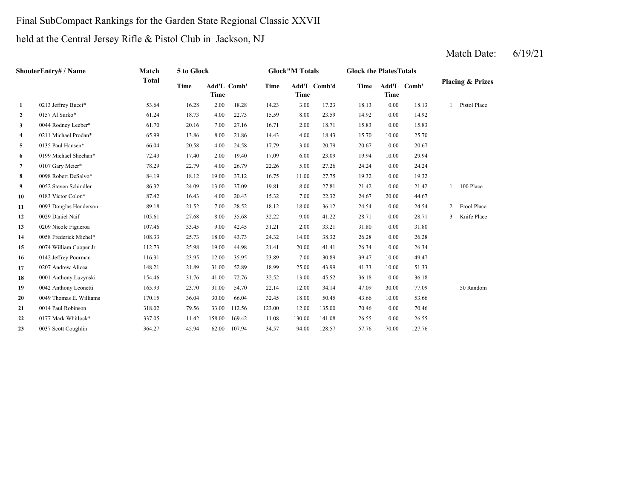## Final SubCompact Rankings for the Garden State Regional Classic XXVII

## held at the Central Jersey Rifle & Pistol Club in Jackson, NJ

|                | ShooterEntry# / Name    | Match        | 5 to Glock |        |                    |             | <b>Glock</b> "M Totals |              | <b>Glock the PlatesTotals</b> |       |             |                |                             |
|----------------|-------------------------|--------------|------------|--------|--------------------|-------------|------------------------|--------------|-------------------------------|-------|-------------|----------------|-----------------------------|
|                |                         | <b>Total</b> | Time       | Time   | <b>Add'L Comb'</b> | <b>Time</b> | <b>Time</b>            | Add'L Comb'd | Time                          | Time  | Add'L Comb' |                | <b>Placing &amp; Prizes</b> |
| $\mathbf{1}$   | 0213 Jeffrey Bucci*     | 53.64        | 16.28      | 2.00   | 18.28              | 14.23       | 3.00                   | 17.23        | 18.13                         | 0.00  | 18.13       |                | Pistol Place                |
| $\mathbf{2}$   | 0157 Al Surko*          | 61.24        | 18.73      | 4.00   | 22.73              | 15.59       | 8.00                   | 23.59        | 14.92                         | 0.00  | 14.92       |                |                             |
| 3              | 0044 Rodney Leeber*     | 61.70        | 20.16      | 7.00   | 27.16              | 16.71       | 2.00                   | 18.71        | 15.83                         | 0.00  | 15.83       |                |                             |
| 4              | 0211 Michael Prodan*    | 65.99        | 13.86      | 8.00   | 21.86              | 14.43       | 4.00                   | 18.43        | 15.70                         | 10.00 | 25.70       |                |                             |
| 5              | 0135 Paul Hansen*       | 66.04        | 20.58      | 4.00   | 24.58              | 17.79       | 3.00                   | 20.79        | 20.67                         | 0.00  | 20.67       |                |                             |
| 6              | 0199 Michael Sheehan*   | 72.43        | 17.40      | 2.00   | 19.40              | 17.09       | 6.00                   | 23.09        | 19.94                         | 10.00 | 29.94       |                |                             |
| $\overline{7}$ | 0107 Gary Meier*        | 78.29        | 22.79      | 4.00   | 26.79              | 22.26       | 5.00                   | 27.26        | 24.24                         | 0.00  | 24.24       |                |                             |
| 8              | 0098 Robert DeSalvo*    | 84.19        | 18.12      | 19.00  | 37.12              | 16.75       | 11.00                  | 27.75        | 19.32                         | 0.00  | 19.32       |                |                             |
| 9              | 0052 Steven Schindler   | 86.32        | 24.09      | 13.00  | 37.09              | 19.81       | 8.00                   | 27.81        | 21.42                         | 0.00  | 21.42       |                | 1 100 Place                 |
| 10             | 0183 Victor Colon*      | 87.42        | 16.43      | 4.00   | 20.43              | 15.32       | 7.00                   | 22.32        | 24.67                         | 20.00 | 44.67       |                |                             |
| 11             | 0093 Douglas Henderson  | 89.18        | 21.52      | 7.00   | 28.52              | 18.12       | 18.00                  | 36.12        | 24.54                         | 0.00  | 24.54       | $\overline{2}$ | Etool Place                 |
| 12             | 0029 Daniel Naif        | 105.61       | 27.68      | 8.00   | 35.68              | 32.22       | 9.00                   | 41.22        | 28.71                         | 0.00  | 28.71       | 3              | Knife Place                 |
| 13             | 0209 Nicole Figueroa    | 107.46       | 33.45      | 9.00   | 42.45              | 31.21       | 2.00                   | 33.21        | 31.80                         | 0.00  | 31.80       |                |                             |
| 14             | 0058 Frederick Michel*  | 108.33       | 25.73      | 18.00  | 43.73              | 24.32       | 14.00                  | 38.32        | 26.28                         | 0.00  | 26.28       |                |                             |
| 15             | 0074 William Cooper Jr. | 112.73       | 25.98      | 19.00  | 44.98              | 21.41       | 20.00                  | 41.41        | 26.34                         | 0.00  | 26.34       |                |                             |
| 16             | 0142 Jeffrey Poorman    | 116.31       | 23.95      | 12.00  | 35.95              | 23.89       | 7.00                   | 30.89        | 39.47                         | 10.00 | 49.47       |                |                             |
| 17             | 0207 Andrew Alicea      | 148.21       | 21.89      | 31.00  | 52.89              | 18.99       | 25.00                  | 43.99        | 41.33                         | 10.00 | 51.33       |                |                             |
| 18             | 0001 Anthony Luzynski   | 154.46       | 31.76      | 41.00  | 72.76              | 32.52       | 13.00                  | 45.52        | 36.18                         | 0.00  | 36.18       |                |                             |
| 19             | 0042 Anthony Leonetti   | 165.93       | 23.70      | 31.00  | 54.70              | 22.14       | 12.00                  | 34.14        | 47.09                         | 30.00 | 77.09       |                | 50 Random                   |
| 20             | 0049 Thomas E. Williams | 170.15       | 36.04      | 30.00  | 66.04              | 32.45       | 18.00                  | 50.45        | 43.66                         | 10.00 | 53.66       |                |                             |
| 21             | 0014 Paul Robinson      | 318.02       | 79.56      | 33.00  | 112.56             | 123.00      | 12.00                  | 135.00       | 70.46                         | 0.00  | 70.46       |                |                             |
| 22             | 0177 Mark Whitlock*     | 337.05       | 11.42      | 158.00 | 169.42             | 11.08       | 130.00                 | 141.08       | 26.55                         | 0.00  | 26.55       |                |                             |
| 23             | 0037 Scott Coughlin     | 364.27       | 45.94      | 62.00  | 107.94             | 34.57       | 94.00                  | 128.57       | 57.76                         | 70.00 | 127.76      |                |                             |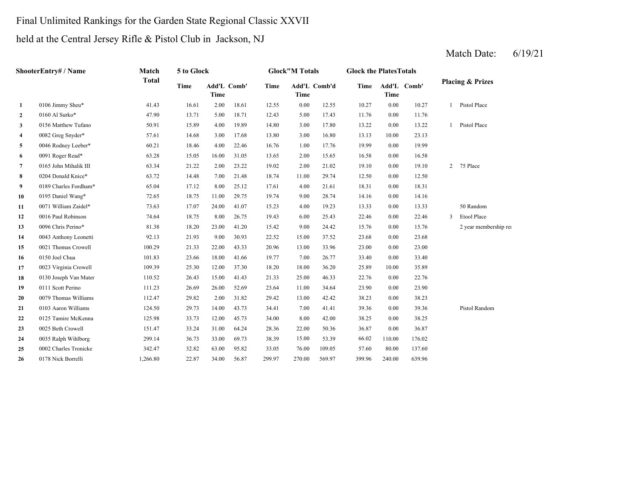## Final Unlimited Rankings for the Garden State Regional Classic XXVII

## held at the Central Jersey Rifle & Pistol Club in Jackson, NJ

|              | ShooterEntry# / Name  | Match    | 5 to Glock |                                   |       |        | <b>Glock"M Totals</b> |              | <b>Glock the PlatesTotals</b> |        |             |                |                             |
|--------------|-----------------------|----------|------------|-----------------------------------|-------|--------|-----------------------|--------------|-------------------------------|--------|-------------|----------------|-----------------------------|
|              |                       | Total    | Time       | <b>Add'L Comb'</b><br><b>Time</b> |       | Time   | <b>Time</b>           | Add'L Comb'd | Time                          | Time   | Add'L Comb' |                | <b>Placing &amp; Prizes</b> |
| $\mathbf{1}$ | 0106 Jimmy Sheu*      | 41.43    | 16.61      | 2.00                              | 18.61 | 12.55  | 0.00                  | 12.55        | 10.27                         | 0.00   | 10.27       | $\mathbf{1}$   | Pistol Place                |
| $\mathbf{2}$ | 0160 Al Surko*        | 47.90    | 13.71      | 5.00                              | 18.71 | 12.43  | 5.00                  | 17.43        | 11.76                         | 0.00   | 11.76       |                |                             |
| 3            | 0156 Matthew Tufano   | 50.91    | 15.89      | 4.00                              | 19.89 | 14.80  | 3.00                  | 17.80        | 13.22                         | 0.00   | 13.22       | $\mathbf{1}$   | Pistol Place                |
| 4            | 0082 Greg Snyder*     | 57.61    | 14.68      | 3.00                              | 17.68 | 13.80  | 3.00                  | 16.80        | 13.13                         | 10.00  | 23.13       |                |                             |
| 5            | 0046 Rodney Leeber*   | 60.21    | 18.46      | 4.00                              | 22.46 | 16.76  | 1.00                  | 17.76        | 19.99                         | 0.00   | 19.99       |                |                             |
| 6            | 0091 Roger Read*      | 63.28    | 15.05      | 16.00                             | 31.05 | 13.65  | 2.00                  | 15.65        | 16.58                         | 0.00   | 16.58       |                |                             |
| 7            | 0165 John Mihalik III | 63.34    | 21.22      | 2.00                              | 23.22 | 19.02  | 2.00                  | 21.02        | 19.10                         | 0.00   | 19.10       | $\overline{2}$ | 75 Place                    |
| 8            | 0204 Donald Knice*    | 63.72    | 14.48      | 7.00                              | 21.48 | 18.74  | 11.00                 | 29.74        | 12.50                         | 0.00   | 12.50       |                |                             |
| 9            | 0189 Charles Fordham* | 65.04    | 17.12      | 8.00                              | 25.12 | 17.61  | 4.00                  | 21.61        | 18.31                         | 0.00   | 18.31       |                |                             |
| 10           | 0195 Daniel Wang*     | 72.65    | 18.75      | 11.00                             | 29.75 | 19.74  | 9.00                  | 28.74        | 14.16                         | 0.00   | 14.16       |                |                             |
| 11           | 0071 William Zaidel*  | 73.63    | 17.07      | 24.00                             | 41.07 | 15.23  | 4.00                  | 19.23        | 13.33                         | 0.00   | 13.33       |                | 50 Random                   |
| 12           | 0016 Paul Robinson    | 74.64    | 18.75      | 8.00                              | 26.75 | 19.43  | 6.00                  | 25.43        | 22.46                         | 0.00   | 22.46       | $\mathfrak{Z}$ | Etool Place                 |
| 13           | 0096 Chris Perino*    | 81.38    | 18.20      | 23.00                             | 41.20 | 15.42  | 9.00                  | 24.42        | 15.76                         | 0.00   | 15.76       |                | 2 year membership rei       |
| 14           | 0043 Anthony Leonetti | 92.13    | 21.93      | 9.00                              | 30.93 | 22.52  | 15.00                 | 37.52        | 23.68                         | 0.00   | 23.68       |                |                             |
| 15           | 0021 Thomas Crowell   | 100.29   | 21.33      | 22.00                             | 43.33 | 20.96  | 13.00                 | 33.96        | 23.00                         | 0.00   | 23.00       |                |                             |
| 16           | 0150 Joel Chua        | 101.83   | 23.66      | 18.00                             | 41.66 | 19.77  | 7.00                  | 26.77        | 33.40                         | 0.00   | 33.40       |                |                             |
| 17           | 0023 Virginia Crowell | 109.39   | 25.30      | 12.00                             | 37.30 | 18.20  | 18.00                 | 36.20        | 25.89                         | 10.00  | 35.89       |                |                             |
| 18           | 0130 Joseph Van Mater | 110.52   | 26.43      | 15.00                             | 41.43 | 21.33  | 25.00                 | 46.33        | 22.76                         | 0.00   | 22.76       |                |                             |
| 19           | 0111 Scott Perino     | 111.23   | 26.69      | 26.00                             | 52.69 | 23.64  | 11.00                 | 34.64        | 23.90                         | 0.00   | 23.90       |                |                             |
| 20           | 0079 Thomas Williams  | 112.47   | 29.82      | 2.00                              | 31.82 | 29.42  | 13.00                 | 42.42        | 38.23                         | 0.00   | 38.23       |                |                             |
| 21           | 0103 Aaron Williams   | 124.50   | 29.73      | 14.00                             | 43.73 | 34.41  | 7.00                  | 41.41        | 39.36                         | 0.00   | 39.36       |                | Pistol Random               |
| 22           | 0125 Tamire McKenna   | 125.98   | 33.73      | 12.00                             | 45.73 | 34.00  | 8.00                  | 42.00        | 38.25                         | 0.00   | 38.25       |                |                             |
| 23           | 0025 Beth Crowell     | 151.47   | 33.24      | 31.00                             | 64.24 | 28.36  | 22.00                 | 50.36        | 36.87                         | 0.00   | 36.87       |                |                             |
| 24           | 0035 Ralph Wihlborg   | 299.14   | 36.73      | 33.00                             | 69.73 | 38.39  | 15.00                 | 53.39        | 66.02                         | 110.00 | 176.02      |                |                             |
| 25           | 0002 Charles Tronicke | 342.47   | 32.82      | 63.00                             | 95.82 | 33.05  | 76.00                 | 109.05       | 57.60                         | 80.00  | 137.60      |                |                             |
| 26           | 0178 Nick Borrelli    | 1,266.80 | 22.87      | 34.00                             | 56.87 | 299.97 | 270.00                | 569.97       | 399.96                        | 240.00 | 639.96      |                |                             |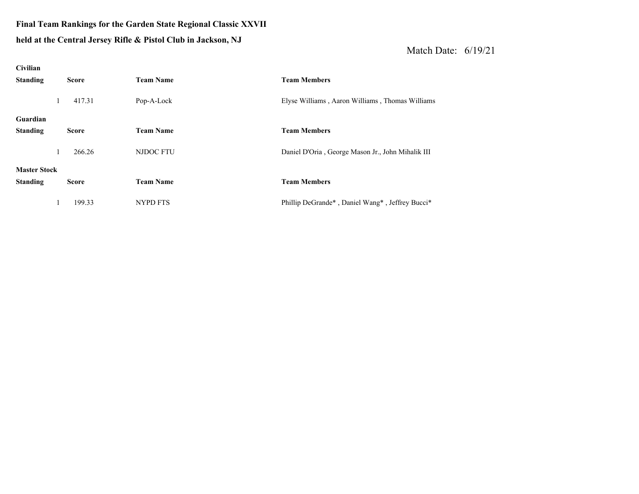## **Final Team Rankings for the Garden State Regional Classic XXVII**

#### **held at the Central Jerse y Rifle & Pistol Club in Jackson, NJ**

| Civilian            |              |                  |                                                   |
|---------------------|--------------|------------------|---------------------------------------------------|
| <b>Standing</b>     | <b>Score</b> | <b>Team Name</b> | <b>Team Members</b>                               |
| $\perp$             | 417.31       | Pop-A-Lock       | Elyse Williams, Aaron Williams, Thomas Williams   |
| Guardian            |              |                  |                                                   |
| <b>Standing</b>     | <b>Score</b> | <b>Team Name</b> | <b>Team Members</b>                               |
| $\mathbf{I}$        | 266.26       | NJDOC FTU        | Daniel D'Oria, George Mason Jr., John Mihalik III |
| <b>Master Stock</b> |              |                  |                                                   |
| <b>Standing</b>     | <b>Score</b> | <b>Team Name</b> | <b>Team Members</b>                               |
|                     | 199.33       | NYPD FTS         | Phillip DeGrande*, Daniel Wang*, Jeffrey Bucci*   |